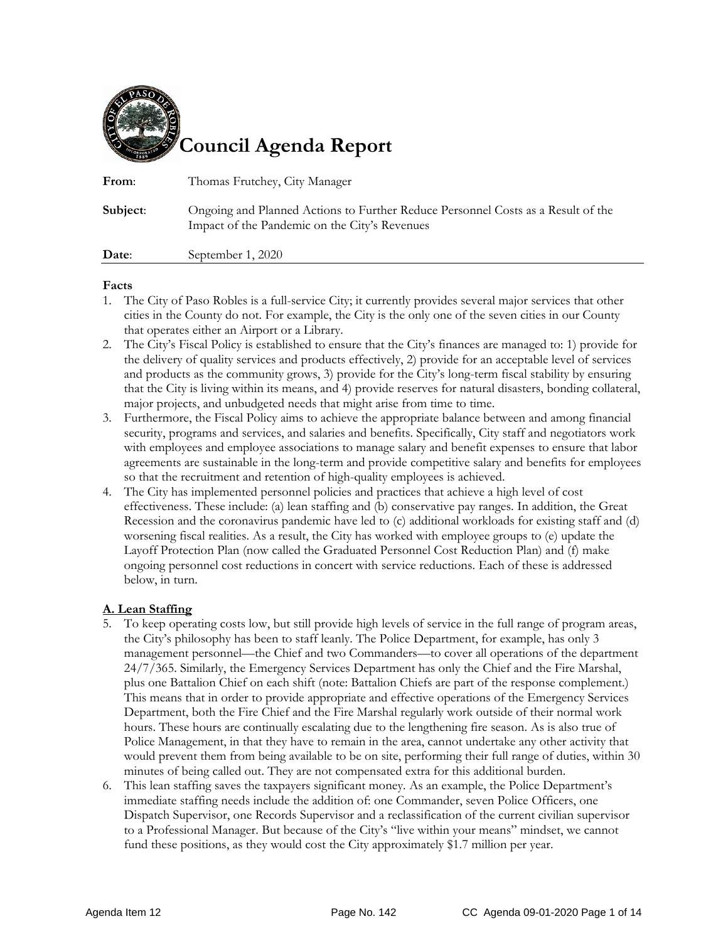

| From:    | Thomas Frutchey, City Manager                                                                                                     |
|----------|-----------------------------------------------------------------------------------------------------------------------------------|
| Subject: | Ongoing and Planned Actions to Further Reduce Personnel Costs as a Result of the<br>Impact of the Pandemic on the City's Revenues |
| Date:    | September 1, 2020                                                                                                                 |

#### **Facts**

- 1. The City of Paso Robles is a full-service City; it currently provides several major services that other cities in the County do not. For example, the City is the only one of the seven cities in our County that operates either an Airport or a Library.
- 2. The City's Fiscal Policy is established to ensure that the City's finances are managed to: 1) provide for the delivery of quality services and products effectively, 2) provide for an acceptable level of services and products as the community grows, 3) provide for the City's long-term fiscal stability by ensuring that the City is living within its means, and 4) provide reserves for natural disasters, bonding collateral, major projects, and unbudgeted needs that might arise from time to time.
- 3. Furthermore, the Fiscal Policy aims to achieve the appropriate balance between and among financial security, programs and services, and salaries and benefits. Specifically, City staff and negotiators work with employees and employee associations to manage salary and benefit expenses to ensure that labor agreements are sustainable in the long-term and provide competitive salary and benefits for employees so that the recruitment and retention of high-quality employees is achieved.
- 4. The City has implemented personnel policies and practices that achieve a high level of cost effectiveness. These include: (a) lean staffing and (b) conservative pay ranges. In addition, the Great Recession and the coronavirus pandemic have led to (c) additional workloads for existing staff and (d) worsening fiscal realities. As a result, the City has worked with employee groups to (e) update the Layoff Protection Plan (now called the Graduated Personnel Cost Reduction Plan) and (f) make ongoing personnel cost reductions in concert with service reductions. Each of these is addressed below, in turn.

### **A. Lean Staffing**

- 5. To keep operating costs low, but still provide high levels of service in the full range of program areas, the City's philosophy has been to staff leanly. The Police Department, for example, has only 3 management personnel—the Chief and two Commanders—to cover all operations of the department 24/7/365. Similarly, the Emergency Services Department has only the Chief and the Fire Marshal, plus one Battalion Chief on each shift (note: Battalion Chiefs are part of the response complement.) This means that in order to provide appropriate and effective operations of the Emergency Services Department, both the Fire Chief and the Fire Marshal regularly work outside of their normal work hours. These hours are continually escalating due to the lengthening fire season. As is also true of Police Management, in that they have to remain in the area, cannot undertake any other activity that would prevent them from being available to be on site, performing their full range of duties, within 30 minutes of being called out. They are not compensated extra for this additional burden.
- 6. This lean staffing saves the taxpayers significant money. As an example, the Police Department's immediate staffing needs include the addition of: one Commander, seven Police Officers, one Dispatch Supervisor, one Records Supervisor and a reclassification of the current civilian supervisor to a Professional Manager. But because of the City's "live within your means" mindset, we cannot fund these positions, as they would cost the City approximately \$1.7 million per year.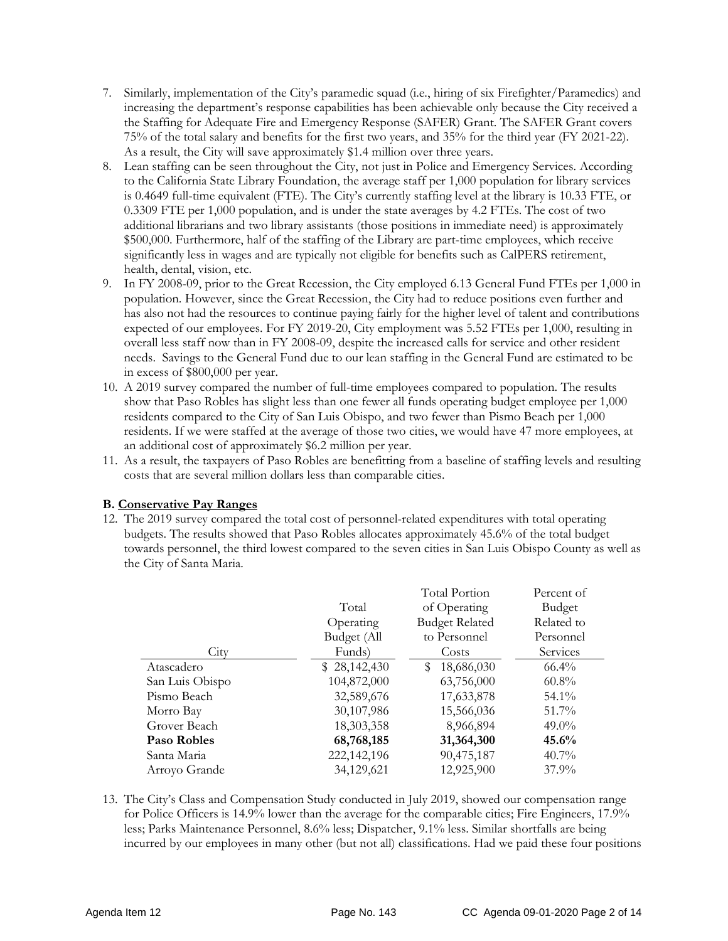- 7. Similarly, implementation of the City's paramedic squad (i.e., hiring of six Firefighter/Paramedics) and increasing the department's response capabilities has been achievable only because the City received a the Staffing for Adequate Fire and Emergency Response (SAFER) Grant. The SAFER Grant covers 75% of the total salary and benefits for the first two years, and 35% for the third year (FY 2021-22). As a result, the City will save approximately \$1.4 million over three years.
- 8. Lean staffing can be seen throughout the City, not just in Police and Emergency Services. According to the California State Library Foundation, the average staff per 1,000 population for library services is 0.4649 full-time equivalent (FTE). The City's currently staffing level at the library is 10.33 FTE, or 0.3309 FTE per 1,000 population, and is under the state averages by 4.2 FTEs. The cost of two additional librarians and two library assistants (those positions in immediate need) is approximately \$500,000. Furthermore, half of the staffing of the Library are part-time employees, which receive significantly less in wages and are typically not eligible for benefits such as CalPERS retirement, health, dental, vision, etc.
- 9. In FY 2008-09, prior to the Great Recession, the City employed 6.13 General Fund FTEs per 1,000 in population. However, since the Great Recession, the City had to reduce positions even further and has also not had the resources to continue paying fairly for the higher level of talent and contributions expected of our employees. For FY 2019-20, City employment was 5.52 FTEs per 1,000, resulting in overall less staff now than in FY 2008-09, despite the increased calls for service and other resident needs. Savings to the General Fund due to our lean staffing in the General Fund are estimated to be in excess of \$800,000 per year.
- 10. A 2019 survey compared the number of full-time employees compared to population. The results show that Paso Robles has slight less than one fewer all funds operating budget employee per 1,000 residents compared to the City of San Luis Obispo, and two fewer than Pismo Beach per 1,000 residents. If we were staffed at the average of those two cities, we would have 47 more employees, at an additional cost of approximately \$6.2 million per year.
- 11. As a result, the taxpayers of Paso Robles are benefitting from a baseline of staffing levels and resulting costs that are several million dollars less than comparable cities.

### **B. Conservative Pay Ranges**

12. The 2019 survey compared the total cost of personnel-related expenditures with total operating budgets. The results showed that Paso Robles allocates approximately 45.6% of the total budget towards personnel, the third lowest compared to the seven cities in San Luis Obispo County as well as the City of Santa Maria.

|                 |              | <b>Total Portion</b>  | Percent of |
|-----------------|--------------|-----------------------|------------|
|                 | Total        | of Operating          | Budget     |
|                 | Operating    | <b>Budget Related</b> | Related to |
|                 | Budget (All  | to Personnel          | Personnel  |
| City            | Funds)       | Costs                 | Services   |
| Atascadero      | \$28,142,430 | 18,686,030<br>S       | $66.4\%$   |
| San Luis Obispo | 104,872,000  | 63,756,000            | $60.8\%$   |
| Pismo Beach     | 32,589,676   | 17,633,878            | $54.1\%$   |
| Morro Bay       | 30,107,986   | 15,566,036            | 51.7%      |
| Grover Beach    | 18,303,358   | 8,966,894             | $49.0\%$   |
| Paso Robles     | 68,768,185   | 31,364,300            | 45.6%      |
| Santa Maria     | 222,142,196  | 90,475,187            | $40.7\%$   |
| Arroyo Grande   | 34,129,621   | 12,925,900            | $37.9\%$   |

13. The City's Class and Compensation Study conducted in July 2019, showed our compensation range for Police Officers is 14.9% lower than the average for the comparable cities; Fire Engineers, 17.9% less; Parks Maintenance Personnel, 8.6% less; Dispatcher, 9.1% less. Similar shortfalls are being incurred by our employees in many other (but not all) classifications. Had we paid these four positions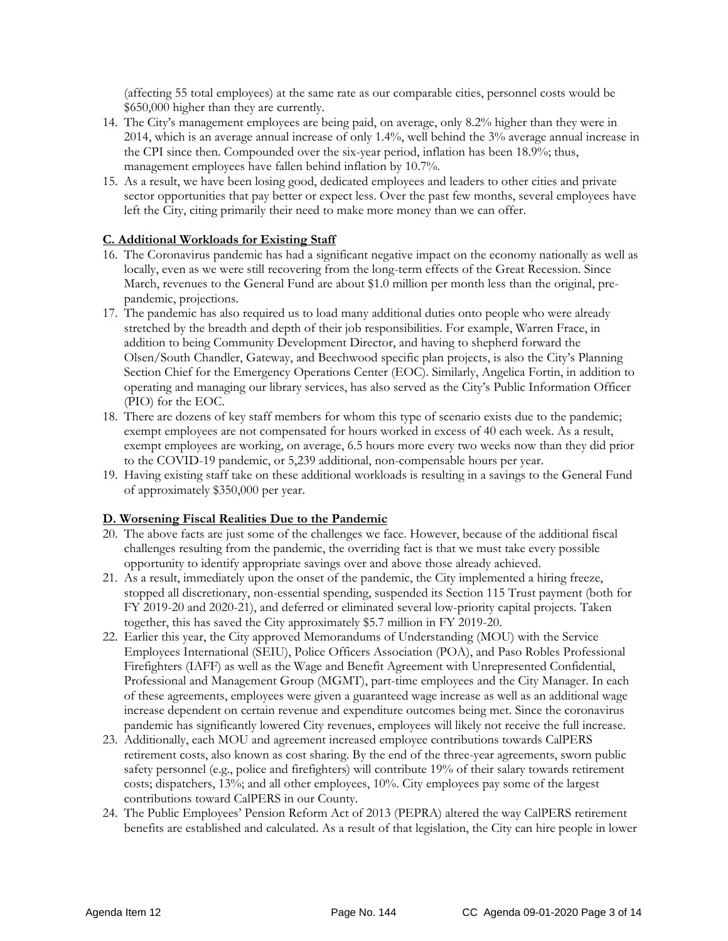(affecting 55 total employees) at the same rate as our comparable cities, personnel costs would be \$650,000 higher than they are currently.

- 14. The City's management employees are being paid, on average, only 8.2% higher than they were in 2014, which is an average annual increase of only 1.4%, well behind the 3% average annual increase in the CPI since then. Compounded over the six-year period, inflation has been 18.9%; thus, management employees have fallen behind inflation by 10.7%.
- 15. As a result, we have been losing good, dedicated employees and leaders to other cities and private sector opportunities that pay better or expect less. Over the past few months, several employees have left the City, citing primarily their need to make more money than we can offer.

#### **C. Additional Workloads for Existing Staff**

- 16. The Coronavirus pandemic has had a significant negative impact on the economy nationally as well as locally, even as we were still recovering from the long-term effects of the Great Recession. Since March, revenues to the General Fund are about \$1.0 million per month less than the original, prepandemic, projections.
- 17. The pandemic has also required us to load many additional duties onto people who were already stretched by the breadth and depth of their job responsibilities. For example, Warren Frace, in addition to being Community Development Director, and having to shepherd forward the Olsen/South Chandler, Gateway, and Beechwood specific plan projects, is also the City's Planning Section Chief for the Emergency Operations Center (EOC). Similarly, Angelica Fortin, in addition to operating and managing our library services, has also served as the City's Public Information Officer (PIO) for the EOC.
- 18. There are dozens of key staff members for whom this type of scenario exists due to the pandemic; exempt employees are not compensated for hours worked in excess of 40 each week. As a result, exempt employees are working, on average, 6.5 hours more every two weeks now than they did prior to the COVID-19 pandemic, or 5,239 additional, non-compensable hours per year.
- 19. Having existing staff take on these additional workloads is resulting in a savings to the General Fund of approximately \$350,000 per year.

#### **D. Worsening Fiscal Realities Due to the Pandemic**

- 20. The above facts are just some of the challenges we face. However, because of the additional fiscal challenges resulting from the pandemic, the overriding fact is that we must take every possible opportunity to identify appropriate savings over and above those already achieved.
- 21. As a result, immediately upon the onset of the pandemic, the City implemented a hiring freeze, stopped all discretionary, non-essential spending, suspended its Section 115 Trust payment (both for FY 2019-20 and 2020-21), and deferred or eliminated several low-priority capital projects. Taken together, this has saved the City approximately \$5.7 million in FY 2019-20.
- 22. Earlier this year, the City approved Memorandums of Understanding (MOU) with the Service Employees International (SEIU), Police Officers Association (POA), and Paso Robles Professional Firefighters (IAFF) as well as the Wage and Benefit Agreement with Unrepresented Confidential, Professional and Management Group (MGMT), part-time employees and the City Manager. In each of these agreements, employees were given a guaranteed wage increase as well as an additional wage increase dependent on certain revenue and expenditure outcomes being met. Since the coronavirus pandemic has significantly lowered City revenues, employees will likely not receive the full increase.
- 23. Additionally, each MOU and agreement increased employee contributions towards CalPERS retirement costs, also known as cost sharing. By the end of the three-year agreements, sworn public safety personnel (e.g., police and firefighters) will contribute 19% of their salary towards retirement costs; dispatchers, 13%; and all other employees, 10%. City employees pay some of the largest contributions toward CalPERS in our County.
- 24. The Public Employees' Pension Reform Act of 2013 (PEPRA) altered the way CalPERS retirement benefits are established and calculated. As a result of that legislation, the City can hire people in lower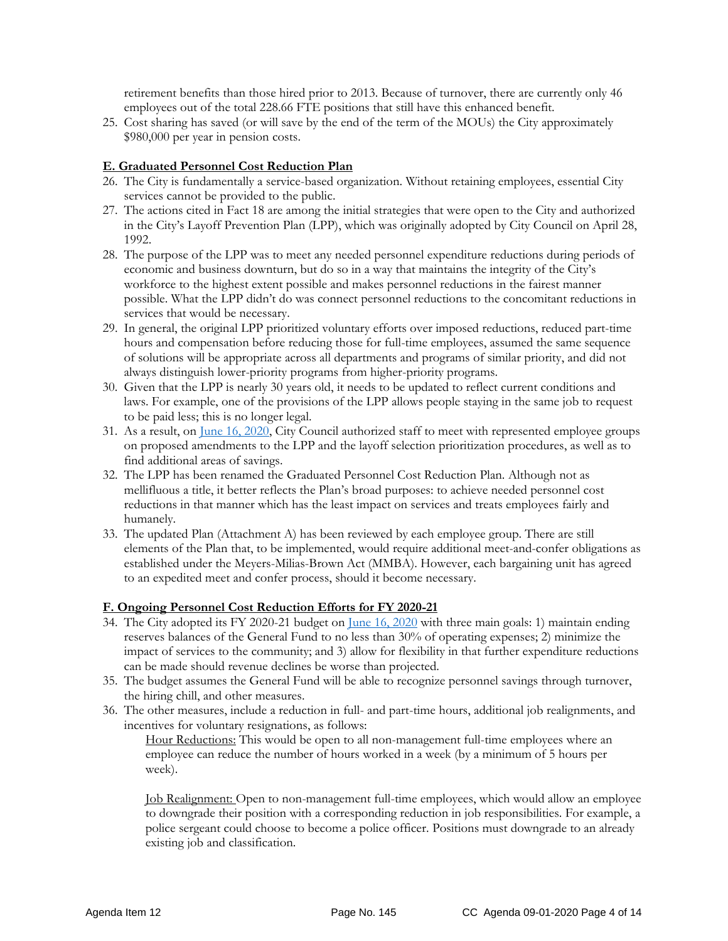retirement benefits than those hired prior to 2013. Because of turnover, there are currently only 46 employees out of the total 228.66 FTE positions that still have this enhanced benefit.

25. Cost sharing has saved (or will save by the end of the term of the MOUs) the City approximately \$980,000 per year in pension costs.

#### **E. Graduated Personnel Cost Reduction Plan**

- 26. The City is fundamentally a service-based organization. Without retaining employees, essential City services cannot be provided to the public.
- 27. The actions cited in Fact 18 are among the initial strategies that were open to the City and authorized in the City's Layoff Prevention Plan (LPP), which was originally adopted by City Council on April 28, 1992.
- 28. The purpose of the LPP was to meet any needed personnel expenditure reductions during periods of economic and business downturn, but do so in a way that maintains the integrity of the City's workforce to the highest extent possible and makes personnel reductions in the fairest manner possible. What the LPP didn't do was connect personnel reductions to the concomitant reductions in services that would be necessary.
- 29. In general, the original LPP prioritized voluntary efforts over imposed reductions, reduced part-time hours and compensation before reducing those for full-time employees, assumed the same sequence of solutions will be appropriate across all departments and programs of similar priority, and did not always distinguish lower-priority programs from higher-priority programs.
- 30. Given that the LPP is nearly 30 years old, it needs to be updated to reflect current conditions and laws. For example, one of the provisions of the LPP allows people staying in the same job to request to be paid less; this is no longer legal.
- 31. As a result, on [June 16, 2020,](https://www.prcity.com/DocumentCenter/View/29424/June-16-2020-City-Council-Agenda-Item-15-PDF) City Council authorized staff to meet with represented employee groups on proposed amendments to the LPP and the layoff selection prioritization procedures, as well as to find additional areas of savings.
- 32. The LPP has been renamed the Graduated Personnel Cost Reduction Plan. Although not as mellifluous a title, it better reflects the Plan's broad purposes: to achieve needed personnel cost reductions in that manner which has the least impact on services and treats employees fairly and humanely.
- 33. The updated Plan (Attachment A) has been reviewed by each employee group. There are still elements of the Plan that, to be implemented, would require additional meet-and-confer obligations as established under the Meyers-Milias-Brown Act (MMBA). However, each bargaining unit has agreed to an expedited meet and confer process, should it become necessary.

#### **F. Ongoing Personnel Cost Reduction Efforts for FY 2020-21**

- 34. The City adopted its FY 2020-21 budget on [June 16, 2020](https://www.prcity.com/DocumentCenter/View/29424/June-16-2020-City-Council-Agenda-Item-15-PDF) with three main goals: 1) maintain ending reserves balances of the General Fund to no less than 30% of operating expenses; 2) minimize the impact of services to the community; and 3) allow for flexibility in that further expenditure reductions can be made should revenue declines be worse than projected.
- 35. The budget assumes the General Fund will be able to recognize personnel savings through turnover, the hiring chill, and other measures.
- 36. The other measures, include a reduction in full- and part-time hours, additional job realignments, and incentives for voluntary resignations, as follows:

Hour Reductions: This would be open to all non-management full-time employees where an employee can reduce the number of hours worked in a week (by a minimum of 5 hours per week).

Job Realignment: Open to non-management full-time employees, which would allow an employee to downgrade their position with a corresponding reduction in job responsibilities. For example, a police sergeant could choose to become a police officer. Positions must downgrade to an already existing job and classification.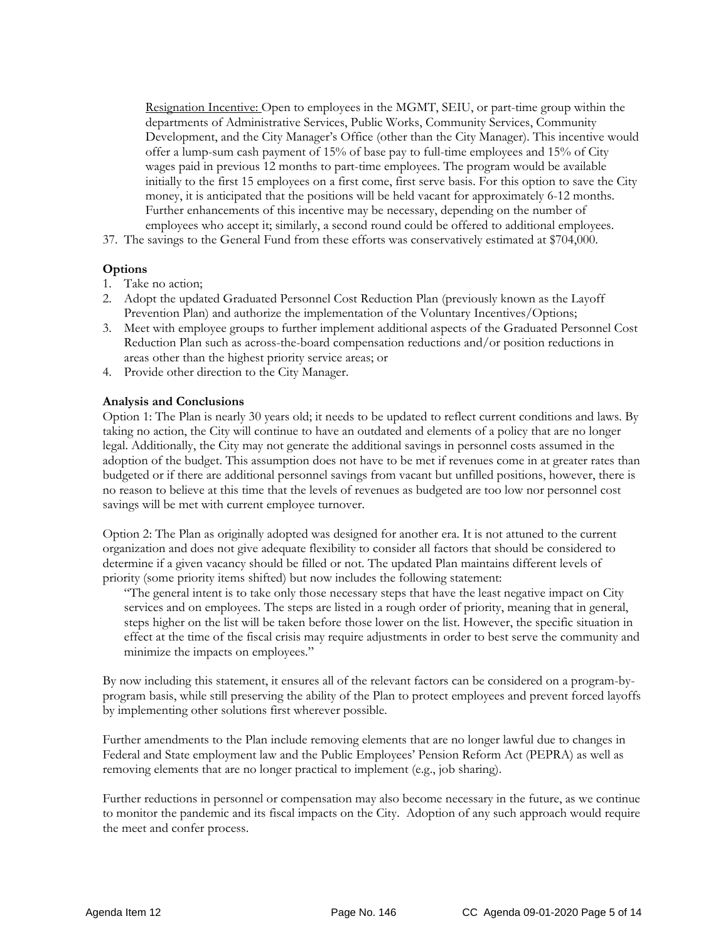Resignation Incentive: Open to employees in the MGMT, SEIU, or part-time group within the departments of Administrative Services, Public Works, Community Services, Community Development, and the City Manager's Office (other than the City Manager). This incentive would offer a lump-sum cash payment of 15% of base pay to full-time employees and 15% of City wages paid in previous 12 months to part-time employees. The program would be available initially to the first 15 employees on a first come, first serve basis. For this option to save the City money, it is anticipated that the positions will be held vacant for approximately 6-12 months. Further enhancements of this incentive may be necessary, depending on the number of employees who accept it; similarly, a second round could be offered to additional employees.

37. The savings to the General Fund from these efforts was conservatively estimated at \$704,000.

#### **Options**

- 1. Take no action;
- 2. Adopt the updated Graduated Personnel Cost Reduction Plan (previously known as the Layoff Prevention Plan) and authorize the implementation of the Voluntary Incentives/Options;
- 3. Meet with employee groups to further implement additional aspects of the Graduated Personnel Cost Reduction Plan such as across-the-board compensation reductions and/or position reductions in areas other than the highest priority service areas; or
- 4. Provide other direction to the City Manager.

#### **Analysis and Conclusions**

Option 1: The Plan is nearly 30 years old; it needs to be updated to reflect current conditions and laws. By taking no action, the City will continue to have an outdated and elements of a policy that are no longer legal. Additionally, the City may not generate the additional savings in personnel costs assumed in the adoption of the budget. This assumption does not have to be met if revenues come in at greater rates than budgeted or if there are additional personnel savings from vacant but unfilled positions, however, there is no reason to believe at this time that the levels of revenues as budgeted are too low nor personnel cost savings will be met with current employee turnover.

Option 2: The Plan as originally adopted was designed for another era. It is not attuned to the current organization and does not give adequate flexibility to consider all factors that should be considered to determine if a given vacancy should be filled or not. The updated Plan maintains different levels of priority (some priority items shifted) but now includes the following statement:

"The general intent is to take only those necessary steps that have the least negative impact on City services and on employees. The steps are listed in a rough order of priority, meaning that in general, steps higher on the list will be taken before those lower on the list. However, the specific situation in effect at the time of the fiscal crisis may require adjustments in order to best serve the community and minimize the impacts on employees."

By now including this statement, it ensures all of the relevant factors can be considered on a program-byprogram basis, while still preserving the ability of the Plan to protect employees and prevent forced layoffs by implementing other solutions first wherever possible.

Further amendments to the Plan include removing elements that are no longer lawful due to changes in Federal and State employment law and the Public Employees' Pension Reform Act (PEPRA) as well as removing elements that are no longer practical to implement (e.g., job sharing).

Further reductions in personnel or compensation may also become necessary in the future, as we continue to monitor the pandemic and its fiscal impacts on the City. Adoption of any such approach would require the meet and confer process.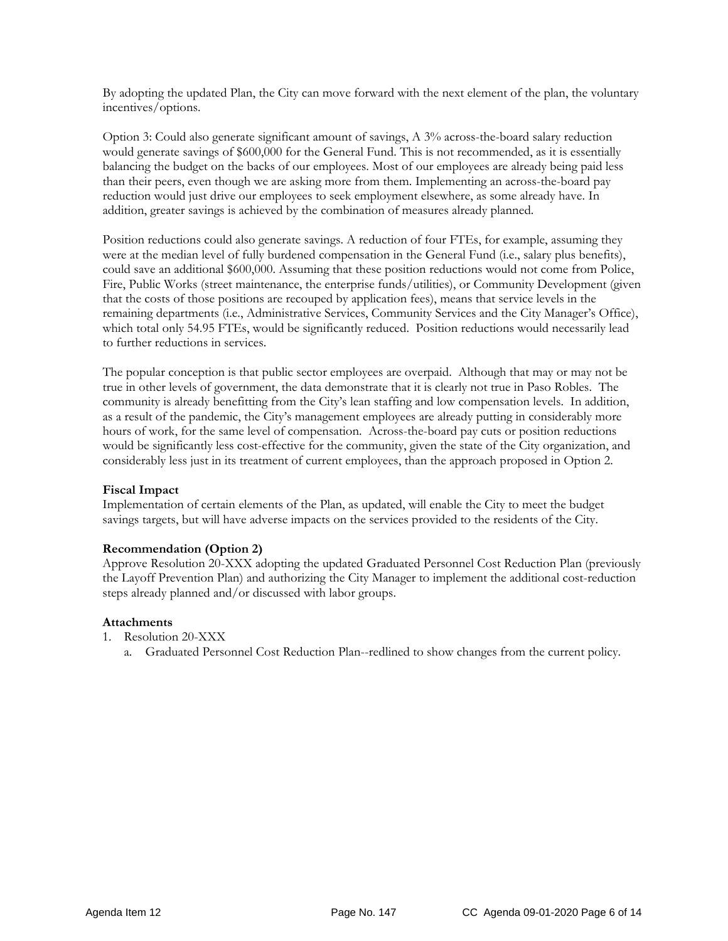By adopting the updated Plan, the City can move forward with the next element of the plan, the voluntary incentives/options.

Option 3: Could also generate significant amount of savings, A 3% across-the-board salary reduction would generate savings of \$600,000 for the General Fund. This is not recommended, as it is essentially balancing the budget on the backs of our employees. Most of our employees are already being paid less than their peers, even though we are asking more from them. Implementing an across-the-board pay reduction would just drive our employees to seek employment elsewhere, as some already have. In addition, greater savings is achieved by the combination of measures already planned.

Position reductions could also generate savings. A reduction of four FTEs, for example, assuming they were at the median level of fully burdened compensation in the General Fund (i.e., salary plus benefits), could save an additional \$600,000. Assuming that these position reductions would not come from Police, Fire, Public Works (street maintenance, the enterprise funds/utilities), or Community Development (given that the costs of those positions are recouped by application fees), means that service levels in the remaining departments (i.e., Administrative Services, Community Services and the City Manager's Office), which total only 54.95 FTEs, would be significantly reduced. Position reductions would necessarily lead to further reductions in services.

The popular conception is that public sector employees are overpaid. Although that may or may not be true in other levels of government, the data demonstrate that it is clearly not true in Paso Robles. The community is already benefitting from the City's lean staffing and low compensation levels. In addition, as a result of the pandemic, the City's management employees are already putting in considerably more hours of work, for the same level of compensation. Across-the-board pay cuts or position reductions would be significantly less cost-effective for the community, given the state of the City organization, and considerably less just in its treatment of current employees, than the approach proposed in Option 2.

#### **Fiscal Impact**

Implementation of certain elements of the Plan, as updated, will enable the City to meet the budget savings targets, but will have adverse impacts on the services provided to the residents of the City.

#### **Recommendation (Option 2)**

Approve Resolution 20-XXX adopting the updated Graduated Personnel Cost Reduction Plan (previously the Layoff Prevention Plan) and authorizing the City Manager to implement the additional cost-reduction steps already planned and/or discussed with labor groups.

#### **Attachments**

- 1. Resolution 20-XXX
	- a. Graduated Personnel Cost Reduction Plan--redlined to show changes from the current policy.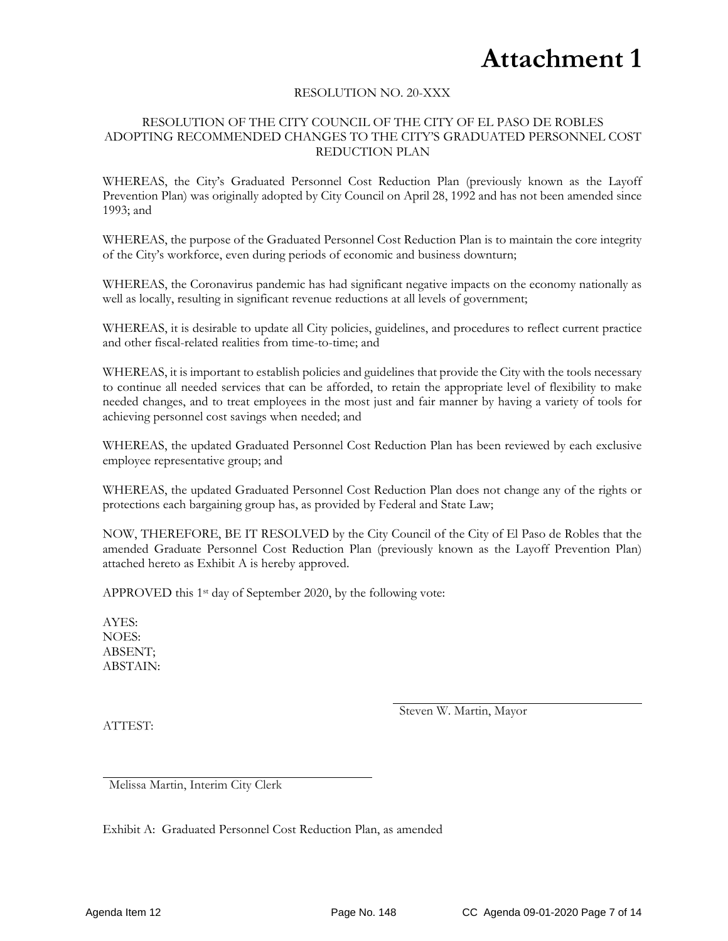### **Attachment 1**

#### RESOLUTION NO. 20-XXX

#### RESOLUTION OF THE CITY COUNCIL OF THE CITY OF EL PASO DE ROBLES ADOPTING RECOMMENDED CHANGES TO THE CITY'S GRADUATED PERSONNEL COST REDUCTION PLAN

WHEREAS, the City's Graduated Personnel Cost Reduction Plan (previously known as the Layoff Prevention Plan) was originally adopted by City Council on April 28, 1992 and has not been amended since 1993; and

WHEREAS, the purpose of the Graduated Personnel Cost Reduction Plan is to maintain the core integrity of the City's workforce, even during periods of economic and business downturn;

WHEREAS, the Coronavirus pandemic has had significant negative impacts on the economy nationally as well as locally, resulting in significant revenue reductions at all levels of government;

WHEREAS, it is desirable to update all City policies, guidelines, and procedures to reflect current practice and other fiscal-related realities from time-to-time; and

WHEREAS, it is important to establish policies and guidelines that provide the City with the tools necessary to continue all needed services that can be afforded, to retain the appropriate level of flexibility to make needed changes, and to treat employees in the most just and fair manner by having a variety of tools for achieving personnel cost savings when needed; and

WHEREAS, the updated Graduated Personnel Cost Reduction Plan has been reviewed by each exclusive employee representative group; and

WHEREAS, the updated Graduated Personnel Cost Reduction Plan does not change any of the rights or protections each bargaining group has, as provided by Federal and State Law;

NOW, THEREFORE, BE IT RESOLVED by the City Council of the City of El Paso de Robles that the amended Graduate Personnel Cost Reduction Plan (previously known as the Layoff Prevention Plan) attached hereto as Exhibit A is hereby approved.

APPROVED this 1st day of September 2020, by the following vote:

AYES: NOES: ABSENT; ABSTAIN:

Steven W. Martin, Mayor

ATTEST:

Melissa Martin, Interim City Clerk

Exhibit A: Graduated Personnel Cost Reduction Plan, as amended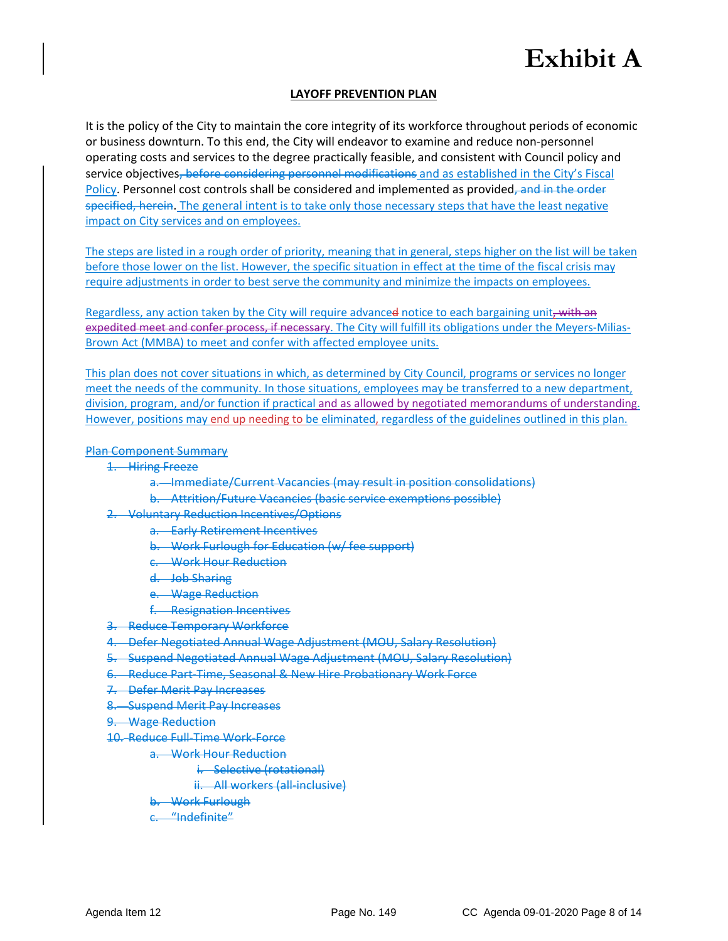### **LAYOFF PREVENTION PLAN**

It is the policy of the City to maintain the core integrity of its workforce throughout periods of economic or business downturn. To this end, the City will endeavor to examine and reduce non-personnel operating costs and services to the degree practically feasible, and consistent with Council policy and service objectives, before considering personnel modifications and as established in the City's Fiscal Policy. Personnel cost controls shall be considered and implemented as provided, and in the order specified, herein. The general intent is to take only those necessary steps that have the least negative impact on City services and on employees.

The steps are listed in a rough order of priority, meaning that in general, steps higher on the list will be taken before those lower on the list. However, the specific situation in effect at the time of the fiscal crisis may require adjustments in order to best serve the community and minimize the impacts on employees.

Regardless, any action taken by the City will require advanced notice to each bargaining unit, with an expedited meet and confer process, if necessary. The City will fulfill its obligations under the Meyers-Milias-Brown Act (MMBA) to meet and confer with affected employee units.

This plan does not cover situations in which, as determined by City Council, programs or services no longer meet the needs of the community. In those situations, employees may be transferred to a new department, division, program, and/or function if practical and as allowed by negotiated memorandums of understanding. However, positions may end up needing to be eliminated, regardless of the guidelines outlined in this plan.

#### Plan Component Summary

- 1. Hiring Freeze
	- a. Immediate/Current Vacancies (may result in position consolidations)
	- b. Attrition/Future Vacancies (basic service exemptions possible)
- 2. Voluntary Reduction Incentives/Options
	- a. Early Retirement Incentives
	- b. Work Furlough for Education (w/ fee support)
	- c. Work Hour Reduction
	- d. Job Sharing
	- e. Wage Reduction
	- f. Resignation Incentives
- 3. Reduce Temporary Workforce
- 4. Defer Negotiated Annual Wage Adjustment (MOU, Salary Resolution)
- 5. Suspend Negotiated Annual Wage Adjustment (MOU, Salary Resolution)
- 6. Reduce Part-Time, Seasonal & New Hire Probationary Work Force
- 7. Defer Merit Pay Increases
- 8. Suspend Merit Pay Increases
- 9. Wage Reduction
- 10. Reduce Full-Time Work-Force
	- a. Work Hour Reduction
		- i. Selective (rotational)
		- ii. All workers (all-inclusive)
	- b. Work Furlough
	- "Indefinite"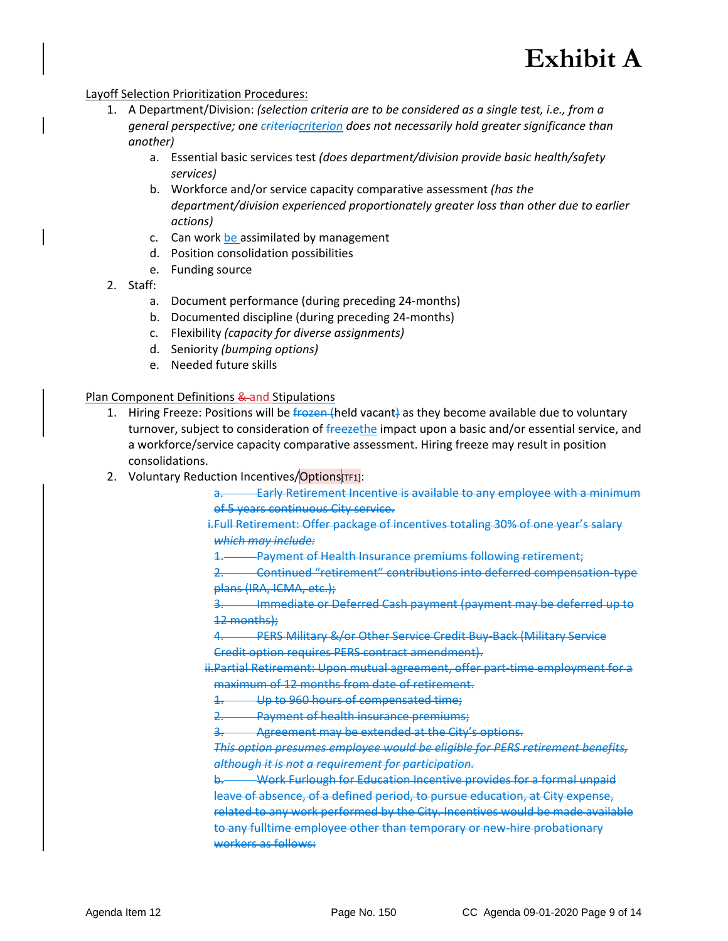#### Layoff Selection Prioritization Procedures:

- 1. A Department/Division: *(selection criteria are to be considered as a single test, i.e., from a general perspective; one criteriacriterion does not necessarily hold greater significance than another)*
	- a. Essential basic services test *(does department/division provide basic health/safety services)*
	- b. Workforce and/or service capacity comparative assessment *(has the department/division experienced proportionately greater loss than other due to earlier actions)*
	- c. Can work be assimilated by management
	- d. Position consolidation possibilities
	- e. Funding source
- 2. Staff:
	- a. Document performance (during preceding 24-months)
	- b. Documented discipline (during preceding 24-months)
	- c. Flexibility *(capacity for diverse assignments)*
	- d. Seniority *(bumping options)*
	- e. Needed future skills

### Plan Component Definitions & and Stipulations

- 1. Hiring Freeze: Positions will be frozen (held vacant) as they become available due to voluntary turnover, subject to consideration of freezethe impact upon a basic and/or essential service, and a workforce/service capacity comparative assessment. Hiring freeze may result in position consolidations.
- 2. Voluntary Reduction Incentives/Options[TF1]:

a. Early Retirement Incentive is available to any employee with a minimum of 5 years continuous City service.

i.Full Retirement: Offer package of incentives totaling 30% of one year's salary *which may include:*

1. Payment of Health Insurance premiums following retirement;

2. Continued "retirement" contributions into deferred compensation-type plans (IRA, ICMA, etc.);

3. Immediate or Deferred Cash payment (payment may be deferred up to 12 months);

**PERS Military &/or Other Service Credit Buy-Back (Military Service** Credit option requires PERS contract amendment).

ii.Partial Retirement: Upon mutual agreement, offer part-time employment for a maximum of 12 months from date of retirement.

Up to 960 hours of compensated time;

2. Payment of health insurance premiums;

3. Agreement may be extended at the City's options.

*This option presumes employee would be eligible for PERS retirement benefits, although it is not a requirement for participation.*

b. Work Furlough for Education Incentive provides for a formal unpaid leave of absence, of a defined period, to pursue education, at City expense, related to any work performed by the City. Incentives would be made available to any fulltime employee other than temporary or new-hire probationary workers as follows: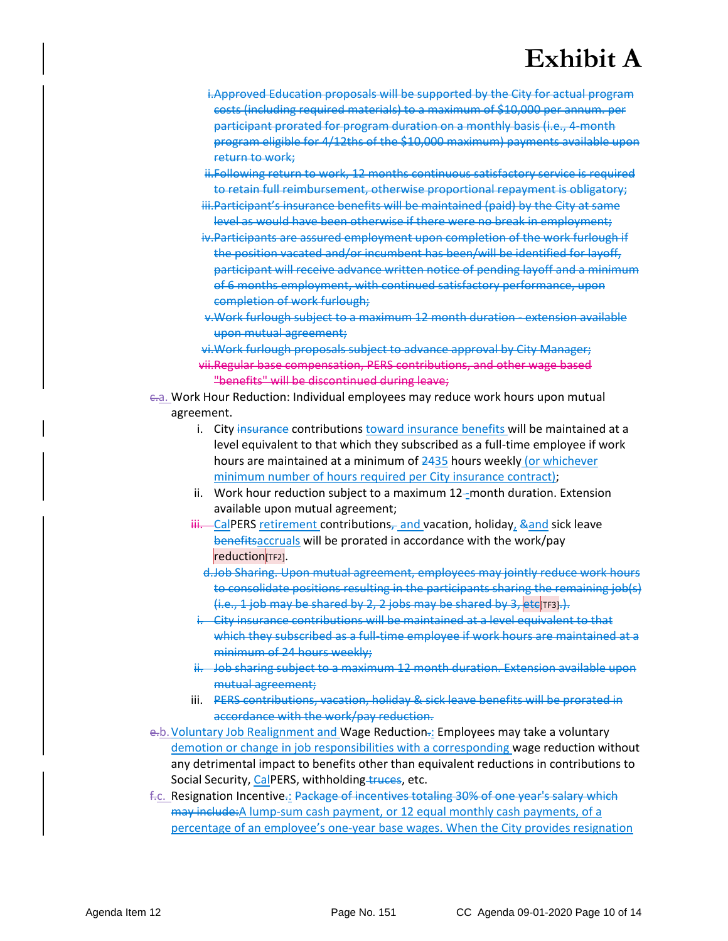- i.Approved Education proposals will be supported by the City for actual program costs (including required materials) to a maximum of \$10,000 per annum. per participant prorated for program duration on a monthly basis (i.e., 4-month program eligible for 4/12ths of the \$10,000 maximum) payments available upon return to work;
- ii.Following return to work, 12 months continuous satisfactory service is required to retain full reimbursement, otherwise proportional repayment is obligatory;
- iii.Participant's insurance benefits will be maintained (paid) by the City at same level as would have been otherwise if there were no break in employment;
- iv.Participants are assured employment upon completion of the work furlough if the position vacated and/or incumbent has been/will be identified for layoff, participant will receive advance written notice of pending layoff and a minimum of 6 months employment, with continued satisfactory performance, upon completion of work furlough;
- v.Work furlough subject to a maximum 12 month duration extension available upon mutual agreement;
- vi.Work furlough proposals subject to advance approval by City Manager; vii.Regular base compensation, PERS contributions, and other wage based "benefits" will be discontinued during leave;
- c.a. Work Hour Reduction: Individual employees may reduce work hours upon mutual agreement.
	- i. City insurance contributions toward insurance benefits will be maintained at a level equivalent to that which they subscribed as a full-time employee if work hours are maintained at a minimum of 2435 hours weekly (or whichever minimum number of hours required per City insurance contract);
	- ii. Work hour reduction subject to a maximum 12--month duration. Extension available upon mutual agreement;
	- iii. CalPERS retirement contributions, and vacation, holiday, & and sick leave benefitsaccruals will be prorated in accordance with the work/pay reduction[TF2].
		- d.Job Sharing. Upon mutual agreement, employees may jointly reduce work hours to consolidate positions resulting in the participants sharing the remaining job(s)  $(i.e., 1$  job may be shared by 2, 2 jobs may be shared by 3, etc<sup>T</sup> rs.
	- i. City insurance contributions will be maintained at a level equivalent to that which they subscribed as a full-time employee if work hours are maintained at a minimum of 24 hours weekly;
	- ii. Job sharing subject to a maximum 12 month duration. Extension available upon mutual agreement;
	- iii. PERS contributions, vacation, holiday & sick leave benefits will be prorated in accordance with the work/pay reduction.
- e.b. Voluntary Job Realignment and Wage Reduction.: Employees may take a voluntary demotion or change in job responsibilities with a corresponding wage reduction without any detrimental impact to benefits other than equivalent reductions in contributions to Social Security, CalPERS, withholding-truces, etc.
- f.c. Resignation Incentive.: Package of incentives totaling 30% of one year's salary which may include: A lump-sum cash payment, or 12 equal monthly cash payments, of a percentage of an employee's one-year base wages. When the City provides resignation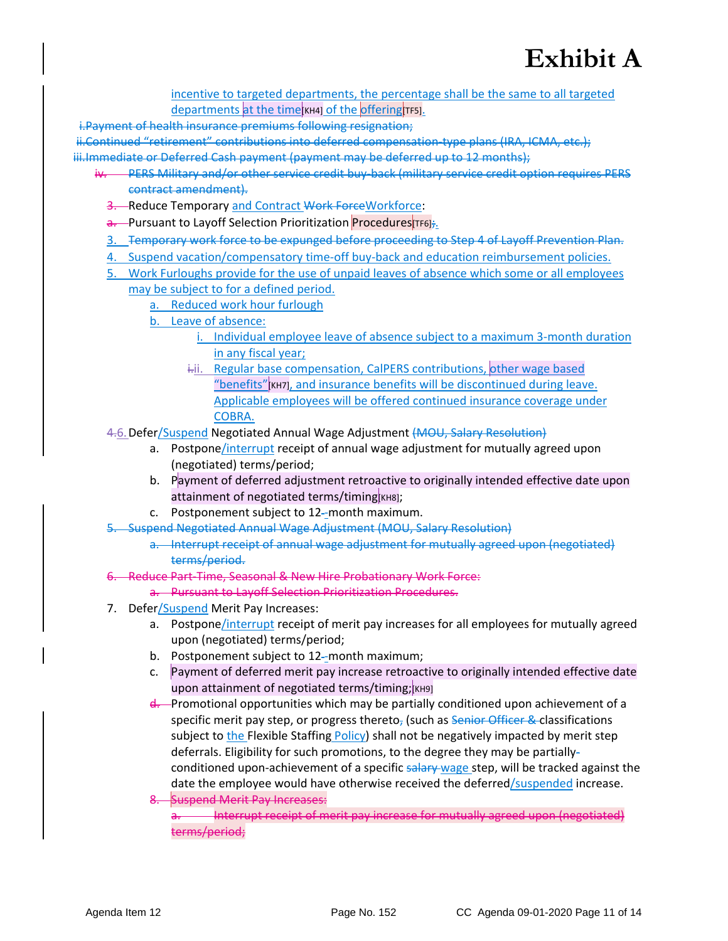incentive to targeted departments, the percentage shall be the same to all targeted departments at the time[KH4] of the offering [TF5].

i.Payment of health insurance premiums following resignation;

ii.Continued "retirement" contributions into deferred compensation-type plans (IRA, ICMA, etc.); iii.Immediate or Deferred Cash payment (payment may be deferred up to 12 months);

- iv. PERS Military and/or other service credit buy-back (military service credit option requires PERS contract amendment).
	- 3. Reduce Temporary and Contract Work ForceWorkforce:
	- a. Pursuant to Layoff Selection Prioritization Procedures TF6];
	- 3. Temporary work force to be expunged before proceeding to Step 4 of Layoff Prevention Plan.
	- 4. Suspend vacation/compensatory time-off buy-back and education reimbursement policies.
	- 5. Work Furloughs provide for the use of unpaid leaves of absence which some or all employees may be subject to for a defined period.
		- a. Reduced work hour furlough
		- b. Leave of absence:
			- i. Individual employee leave of absence subject to a maximum 3-month duration in any fiscal year;
			- i.ii. Regular base compensation, CalPERS contributions, other wage based "benefits"[KH7], and insurance benefits will be discontinued during leave. Applicable employees will be offered continued insurance coverage under COBRA.
	- 4.6. Defer/Suspend Negotiated Annual Wage Adjustment (MOU, Salary Resolution)
		- a. Postpone/interrupt receipt of annual wage adjustment for mutually agreed upon (negotiated) terms/period;
		- b. Payment of deferred adjustment retroactive to originally intended effective date upon attainment of negotiated terms/timing[KH8];
		- c. Postponement subject to 12 -month maximum.
	- -Suspend Negotiated Annual Wage Adjustment (MOU, Salary Resolution)
		- a. Interrupt receipt of annual wage adjustment for mutually agreed upon (negotiated) terms/period.
	- 6. Reduce Part-Time, Seasonal & New Hire Probationary Work Force:
		- a. Pursuant to Layoff Selection Prioritization Procedures.
	- 7. Defer/Suspend Merit Pay Increases:
		- a. Postpone/interrupt receipt of merit pay increases for all employees for mutually agreed upon (negotiated) terms/period;
		- b. Postponement subject to 12-month maximum;
		- c. Payment of deferred merit pay increase retroactive to originally intended effective date upon attainment of negotiated terms/timing;  $[kHB]$
		- d. Promotional opportunities which may be partially conditioned upon achievement of a specific merit pay step, or progress thereto, (such as Senior Officer & classifications subject to the Flexible Staffing Policy) shall not be negatively impacted by merit step deferrals. Eligibility for such promotions, to the degree they may be partiallyconditioned upon-achievement of a specific salary wage step, will be tracked against the date the employee would have otherwise received the deferred/suspended increase.
		- 8. Suspend Merit Pay Increases: Interrupt receipt of merit pay increase for mutually agreed upon (negotiated) terms/period;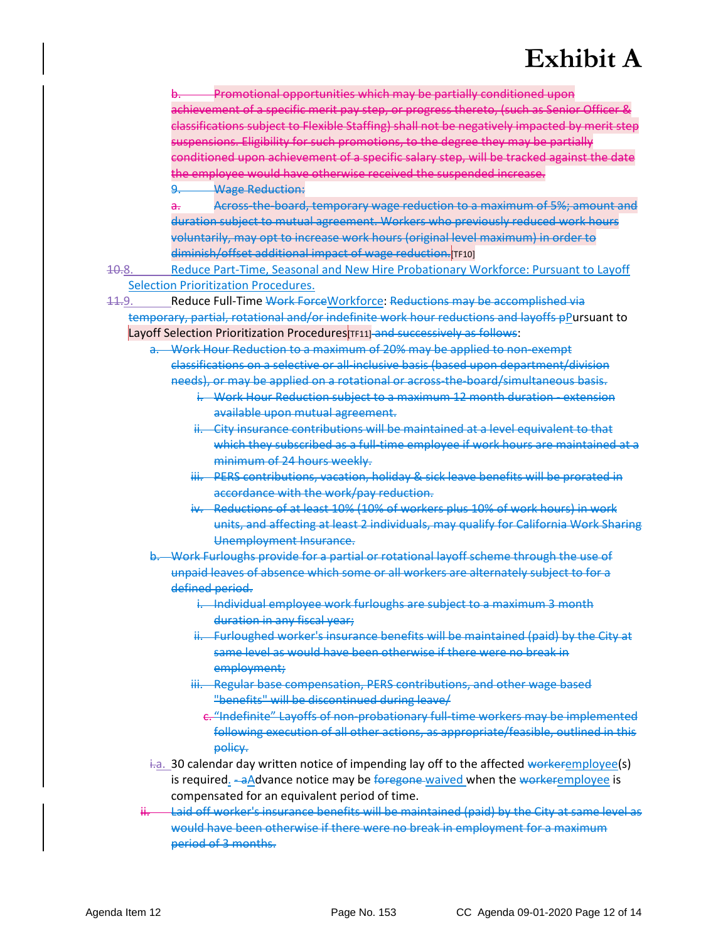Promotional opportunities which may be partially conditioned upon achievement of a specific merit pay step, or progress thereto, (such as Senior Officer & classifications subject to Flexible Staffing) shall not be negatively impacted by merit step suspensions. Eligibility for such promotions, to the degree they may be partially conditioned upon achievement of a specific salary step, will be tracked against the date the employee would have otherwise received the suspended increase. 9. Wage Reduction:

a. Across-the-board, temporary wage reduction to a maximum of 5%; amount and duration subject to mutual agreement. Workers who previously reduced work hours voluntarily, may opt to increase work hours (original level maximum) in order to diminish/offset additional impact of wage reduction. TF10]

10.8. Reduce Part-Time, Seasonal and New Hire Probationary Workforce: Pursuant to Layoff Selection Prioritization Procedures.

11.9. Reduce Full-Time Work ForceWorkforce: Reductions may be accomplished via temporary, partial, rotational and/or indefinite work hour reductions and layoffs pPursuant to Layoff Selection Prioritization Procedures [TF11] and successively as follows:

- Work Hour Reduction to a maximum of 20% may be applied to non-exempt classifications on a selective or all-inclusive basis (based upon department/division needs), or may be applied on a rotational or across-the-board/simultaneous basis.
	- i. Work Hour Reduction subject to a maximum 12 month duration extension available upon mutual agreement.
	- ii. City insurance contributions will be maintained at a level equivalent to that which they subscribed as a full-time employee if work hours are maintained at a minimum of 24 hours weekly.
	- iii. PERS contributions, vacation, holiday & sick leave benefits will be prorated in accordance with the work/pay reduction.
	- iv. Reductions of at least 10% (10% of workers plus 10% of work hours) in work units, and affecting at least 2 individuals, may qualify for California Work Sharing Unemployment Insurance.

b. Work Furloughs provide for a partial or rotational layoff scheme through the use of unpaid leaves of absence which some or all workers are alternately subject to for a defined period.

- i. Individual employee work furloughs are subject to a maximum 3 month duration in any fiscal year;
- ii. Furloughed worker's insurance benefits will be maintained (paid) by the City at same level as would have been otherwise if there were no break in employment;
- iii. Regular base compensation, PERS contributions, and other wage based "benefits" will be discontinued during leave/
	- c. "Indefinite" Layoffs of non-probationary full-time workers may be implemented following execution of all other actions, as appropriate/feasible, outlined in this policy.
- $\frac{1}{10}$ . 30 calendar day written notice of impending lay off to the affected workeremployee(s) is required. -aAdvance notice may be foregone-waived when the workeremployee is compensated for an equivalent period of time.
- Laid off worker's insurance benefits will be maintained (paid) by the City at same level as would have been otherwise if there were no break in employment for a maximum period of 3 months.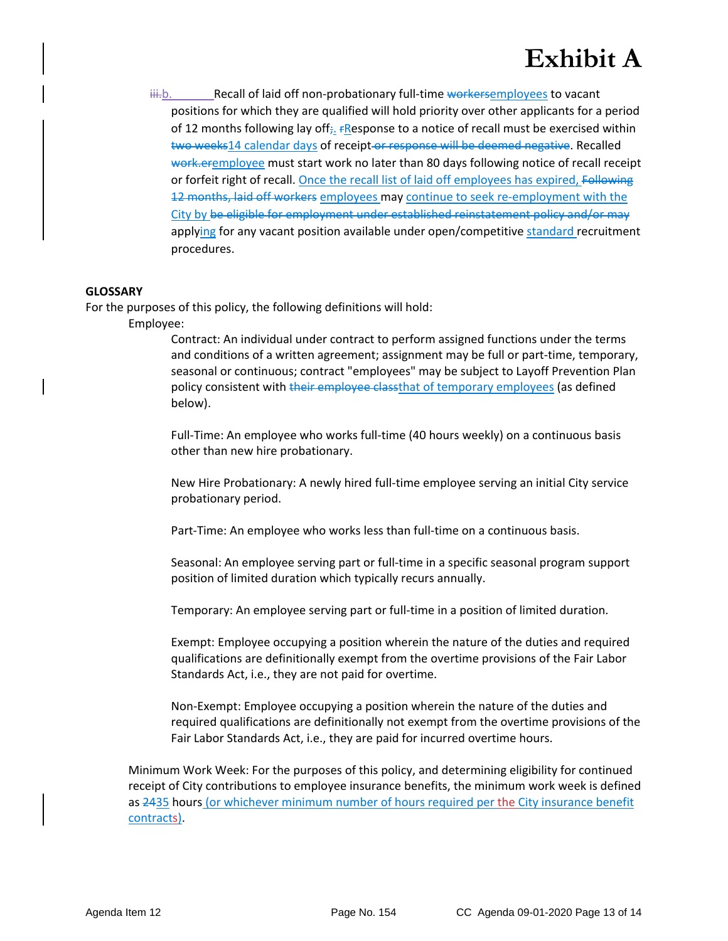iii.b. Recall of laid off non-probationary full-time workersemployees to vacant positions for which they are qualified will hold priority over other applicants for a period of 12 months following lay off<sub> $\bar{r}_1$ </sub> *F*Response to a notice of recall must be exercised within two weeks14 calendar days of receipt or response will be deemed negative. Recalled work.eremployee must start work no later than 80 days following notice of recall receipt or forfeit right of recall. Once the recall list of laid off employees has expired, Following 12 months, laid off workers employees may continue to seek re-employment with the City by be eligible for employment under established reinstatement policy and/or may applying for any vacant position available under open/competitive standard recruitment procedures.

### **GLOSSARY**

For the purposes of this policy, the following definitions will hold:

Employee:

Contract: An individual under contract to perform assigned functions under the terms and conditions of a written agreement; assignment may be full or part-time, temporary, seasonal or continuous; contract "employees" may be subject to Layoff Prevention Plan policy consistent with their employee classthat of temporary employees (as defined below).

Full-Time: An employee who works full-time (40 hours weekly) on a continuous basis other than new hire probationary.

New Hire Probationary: A newly hired full-time employee serving an initial City service probationary period.

Part-Time: An employee who works less than full-time on a continuous basis.

Seasonal: An employee serving part or full-time in a specific seasonal program support position of limited duration which typically recurs annually.

Temporary: An employee serving part or full-time in a position of limited duration.

Exempt: Employee occupying a position wherein the nature of the duties and required qualifications are definitionally exempt from the overtime provisions of the Fair Labor Standards Act, i.e., they are not paid for overtime.

Non-Exempt: Employee occupying a position wherein the nature of the duties and required qualifications are definitionally not exempt from the overtime provisions of the Fair Labor Standards Act, i.e., they are paid for incurred overtime hours.

Minimum Work Week: For the purposes of this policy, and determining eligibility for continued receipt of City contributions to employee insurance benefits, the minimum work week is defined as 2435 hours (or whichever minimum number of hours required per the City insurance benefit contracts).